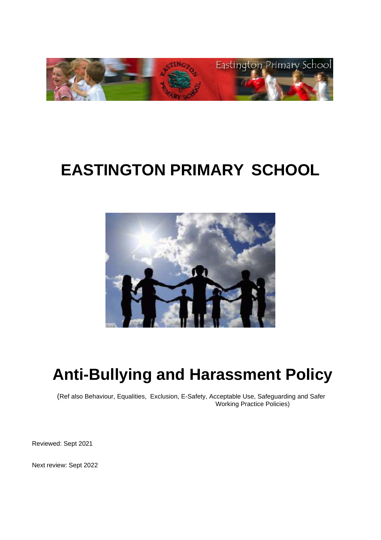

# **EASTINGTON PRIMARY SCHOOL**



# **Anti-Bullying and Harassment Policy**

(Ref also Behaviour, Equalities, Exclusion, E-Safety, Acceptable Use, Safeguarding and Safer Working Practice Policies)

Reviewed: Sept 2021

Next review: Sept 2022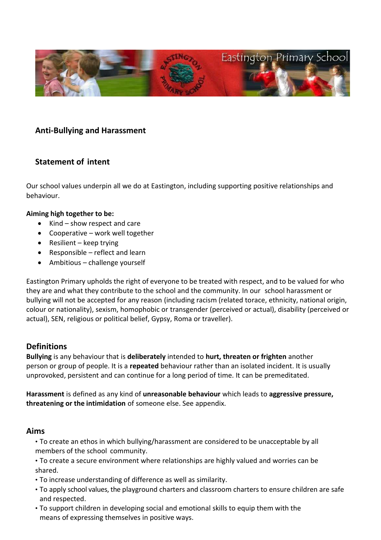

# **Anti-Bullying and Harassment**

# **Statement of intent**

Our school values underpin all we do at Eastington, including supporting positive relationships and behaviour.

### **Aiming high together to be:**

- Kind show respect and care
- Cooperative work well together
- Resilient keep trying
- Responsible reflect and learn
- Ambitious challenge yourself

Eastington Primary upholds the right of everyone to be treated with respect, and to be valued for who they are and what they contribute to the school and the community. In our school harassment or bullying will not be accepted for any reason (including racism (related torace, ethnicity, national origin, colour or nationality), sexism, homophobic or transgender (perceived or actual), disability (perceived or actual), SEN, religious or political belief, Gypsy, Roma or traveller).

## **Definitions**

**Bullying** is any behaviour that is **deliberately** intended to **hurt, threaten or frighten** another person or group of people. It is a **repeated** behaviour rather than an isolated incident. It is usually unprovoked, persistent and can continue for a long period of time. It can be premeditated.

**Harassment** is defined as any kind of **unreasonable behaviour** which leads to **aggressive pressure, threatening or the intimidation** of someone else. See appendix.

## **Aims**

- To create an ethos in which bullying/harassment are considered to be unacceptable by all members of the school community.
- To create a secure environment where relationships are highly valued and worries can be shared.
- To increase understanding of difference as well as similarity.
- To apply school values, the playground charters and classroom charters to ensure children are safe and respected.
- To support children in developing social and emotional skills to equip them with the means of expressing themselves in positive ways.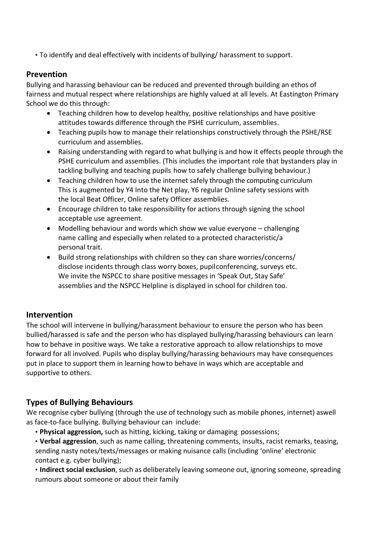• To identify and deal effectively with incidents of bullying/ harassment to support.

# **Prevention**

Bullying and harassing behaviour can be reduced and prevented through building an ethos of fairness and mutual respect where relationships are highly valued at all levels. At Eastington Primary School we do this through:

- Teaching children how to develop healthy, positive relationships and have positive attitudes towards difference through the PSHE curriculum, assemblies.
- Teaching pupils how to manage their relationships constructively through the PSHE/RSE curriculum and assemblies.
- Raising understanding with regard to what bullying is and how it effects people through the PSHE curriculum and assemblies. (This includes the important role that bystanders play in tackling bullying and teaching pupils how to safely challenge bullying behaviour.)
- Teaching children how to use the internet safely through the computing curriculum This is augmented by Y4 Into the Net play, Y6 regular Online safety sessions with the local Beat Officer, Online safety Officer assemblies.
- Encourage children to take responsibility for actions through signing the school acceptable use agreement.
- Modelling behaviour and words which show we value everyone challenging name calling and especially when related to a protected characteristic/a personal trait.
- Build strong relationships with children so they can share worries/concerns/ disclose incidents through class worry boxes, pupil conferencing, surveys etc. We invite the NSPCC to share positive messages in 'Speak Out, Stay Safe' assemblies and the NSPCC Helpline is displayed in school for children too.

# **Intervention**

The school will intervene in bullying/harassment behaviour to ensure the person who has been bullied/harassed is safe and the person who has displayed bullying/harassing behaviours can learn how to behave in positive ways. We take a restorative approach to allow relationships to move forward for all involved. Pupils who display bullying/harassing behaviours may have consequences put in place to support them in learning how to behave in ways which are acceptable and supportive to others.

# **Types of Bullying Behaviours**

We recognise cyber bullying (through the use of technology such as mobile phones, internet) aswell as face-to-face bullying. Bullying behaviour can include:

- **Physical aggression,** such as hitting, kicking, taking or damaging possessions;
- **Verbal aggression**, such as name calling, threatening comments, insults, racist remarks, teasing, sending nasty notes/texts/messages or making nuisance calls (including 'online' electronic contact e.g. cyber bullying);
- **Indirect social exclusion**, such as deliberately leaving someone out, ignoring someone, spreading rumours about someone or about their family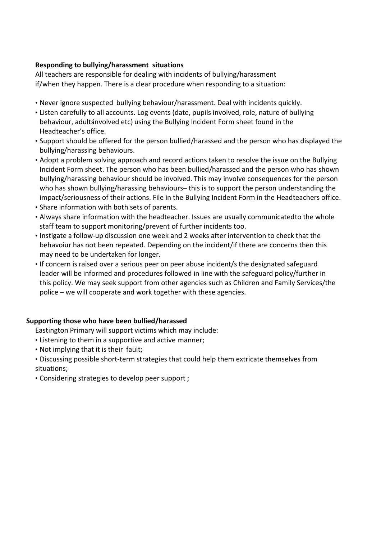# **Responding to bullying/harassment situations**

All teachers are responsible for dealing with incidents of bullying/harassment if/when they happen. There is a clear procedure when responding to a situation:

- Never ignore suspected bullying behaviour/harassment. Deal with incidents quickly.
- Listen carefully to all accounts. Log events (date, pupils involved, role, nature of bullying behaviour, adults involved etc) using the Bullying Incident Form sheet found in the Headteacher's office.
- Support should be offered for the person bullied/harassed and the person who has displayed the bullying/harassing behaviours.
- Adopt a problem solving approach and record actions taken to resolve the issue on the Bullying Incident Form sheet. The person who has been bullied/harassed and the person who has shown bullying/harassing behaviour should be involved. This may involve consequences for the person who has shown bullying/harassing behaviours– this is to support the person understanding the impact/seriousness of their actions. File in the Bullying Incident Form in the Headteachers office.
- Share information with both sets of parents.
- Always share information with the headteacher. Issues are usually communicatedto the whole staff team to support monitoring/prevent of further incidents too.
- Instigate a follow-up discussion one week and 2 weeks after intervention to check that the behavoiur has not been repeated. Depending on the incident/if there are concerns then this may need to be undertaken for longer.
- If concern is raised over a serious peer on peer abuse incident/s the designated safeguard leader will be informed and procedures followed in line with the safeguard policy/further in this policy. We may seek support from other agencies such as Children and Family Services/the police – we will cooperate and work together with these agencies.

## **Supporting those who have been bullied/harassed**

Eastington Primary will support victims which may include:

- Listening to them in a supportive and active manner;
- Not implying that it is their fault;
- Discussing possible short-term strategies that could help them extricate themselves from situations;
- Considering strategies to develop peer support ;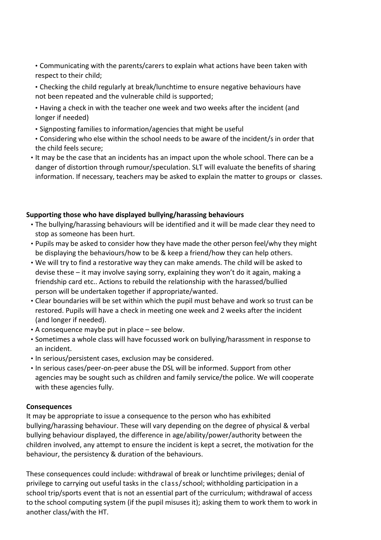• Communicating with the parents/carers to explain what actions have been taken with respect to their child;

- Checking the child regularly at break/lunchtime to ensure negative behaviours have not been repeated and the vulnerable child is supported;
- Having a check in with the teacher one week and two weeks after the incident (and longer if needed)
- Signposting families to information/agencies that might be useful
- Considering who else within the school needs to be aware of the incident/s in order that the child feels secure;
- It may be the case that an incidents has an impact upon the whole school. There can be a danger of distortion through rumour/speculation. SLT will evaluate the benefits of sharing information. If necessary, teachers may be asked to explain the matter to groups or classes.

## **Supporting those who have displayed bullying/harassing behaviours**

- The bullying/harassing behaviours will be identified and it will be made clear they need to stop as someone has been hurt.
- Pupils may be asked to consider how they have made the other person feel/why they might be displaying the behaviours/how to be & keep a friend/how they can help others.
- We will try to find a restorative way they can make amends. The child will be asked to devise these – it may involve saying sorry, explaining they won't do it again, making a friendship card etc.. Actions to rebuild the relationship with the harassed/bullied person will be undertaken together if appropriate/wanted.
- Clear boundaries will be set within which the pupil must behave and work so trust can be restored. Pupils will have a check in meeting one week and 2 weeks after the incident (and longer if needed).
- A consequence maybe put in place see below.
- Sometimes a whole class will have focussed work on bullying/harassment in response to an incident.
- In serious/persistent cases, exclusion may be considered.
- In serious cases/peer-on-peer abuse the DSL will be informed. Support from other agencies may be sought such as children and family service/the police. We will cooperate with these agencies fully.

## **Consequences**

It may be appropriate to issue a consequence to the person who has exhibited bullying/harassing behaviour. These will vary depending on the degree of physical & verbal bullying behaviour displayed, the difference in age/ability/power/authority between the children involved, any attempt to ensure the incident is kept a secret, the motivation for the behaviour, the persistency & duration of the behaviours.

These consequences could include: withdrawal of break or lunchtime privileges; denial of privilege to carrying out useful tasks in the class/school; withholding participation in a school trip/sports event that is not an essential part of the curriculum; withdrawal of access to the school computing system (if the pupil misuses it); asking them to work them to work in another class/with the HT.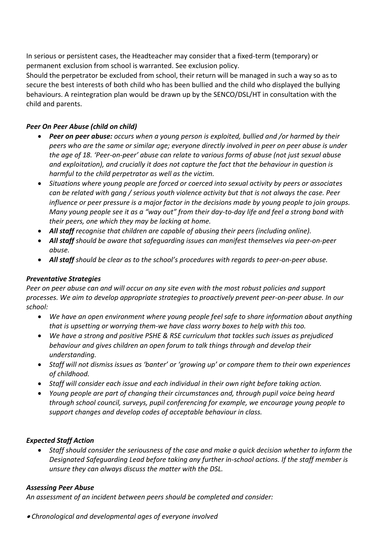In serious or persistent cases, the Headteacher may consider that a fixed-term (temporary) or permanent exclusion from school is warranted. See exclusion policy.

Should the perpetrator be excluded from school, their return will be managed in such a way so as to secure the best interests of both child who has been bullied and the child who displayed the bullying behaviours. A reintegration plan would be drawn up by the SENCO/DSL/HT in consultation with the child and parents.

# *Peer On Peer Abuse (child on child)*

- *Peer on peer abuse: occurs when a young person is exploited, bullied and /or harmed by their peers who are the same or similar age; everyone directly involved in peer on peer abuse is under the age of 18. 'Peer-on-peer' abuse can relate to various forms of abuse (not just sexual abuse and exploitation), and crucially it does not capture the fact that the behaviour in question is harmful to the child perpetrator as well as the victim.*
- *Situations where young people are forced or coerced into sexual activity by peers or associates can be related with gang / serious youth violence activity but that is not always the case. Peer influence or peer pressure is a major factor in the decisions made by young people to join groups. Many young people see it as a "way out" from their day-to-day life and feel a strong bond with their peers, one which they may be lacking at home.*
- *All staff recognise that children are capable of abusing their peers (including online).*
- *All staff should be aware that safeguarding issues can manifest themselves via peer-on-peer abuse.*
- *All staff should be clear as to the school's procedures with regards to peer-on-peer abuse.*

# *Preventative Strategies*

*Peer on peer abuse can and will occur on any site even with the most robust policies and support processes. We aim to develop appropriate strategies to proactively prevent peer-on-peer abuse. In our school:*

- *We have an open environment where young people feel safe to share information about anything that is upsetting or worrying them-we have class worry boxes to help with this too.*
- *We have a strong and positive PSHE & RSE curriculum that tackles such issues as prejudiced behaviour and gives children an open forum to talk things through and develop their understanding.*
- *Staff will not dismiss issues as 'banter' or 'growing up' or compare them to their own experiences of childhood.*
- *Staff will consider each issue and each individual in their own right before taking action.*
- *Young people are part of changing their circumstances and, through pupil voice being heard through school council, surveys, pupil conferencing for example, we encourage young people to support changes and develop codes of acceptable behaviour in class.*

## *Expected Staff Action*

• *Staff should consider the seriousness of the case and make a quick decision whether to inform the Designated Safeguarding Lead before taking any further in-school actions. If the staff member is unsure they can always discuss the matter with the DSL.*

## *Assessing Peer Abuse*

*An assessment of an incident between peers should be completed and consider:* 

• *Chronological and developmental ages of everyone involved*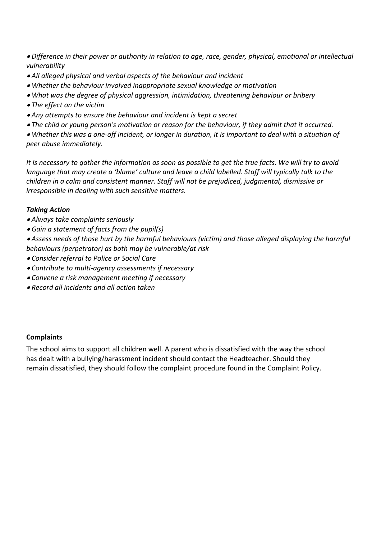- *Difference in their power or authority in relation to age, race, gender, physical, emotional or intellectual vulnerability*
- *All alleged physical and verbal aspects of the behaviour and incident*
- *Whether the behaviour involved inappropriate sexual knowledge or motivation*
- *What was the degree of physical aggression, intimidation, threatening behaviour or bribery*
- *The effect on the victim*
- *Any attempts to ensure the behaviour and incident is kept a secret*
- *The child or young person's motivation or reason for the behaviour, if they admit that it occurred.*

• *Whether this was a one-off incident, or longer in duration, it is important to deal with a situation of peer abuse immediately.* 

*It is necessary to gather the information as soon as possible to get the true facts. We will try to avoid language that may create a 'blame' culture and leave a child labelled. Staff will typically talk to the children in a calm and consistent manner. Staff will not be prejudiced, judgmental, dismissive or irresponsible in dealing with such sensitive matters.* 

# *Taking Action*

- *Always take complaints seriously*
- *Gain a statement of facts from the pupil(s)*

• *Assess needs of those hurt by the harmful behaviours (victim) and those alleged displaying the harmful behaviours (perpetrator) as both may be vulnerable/at risk*

- *Consider referral to Police or Social Care*
- *Contribute to multi-agency assessments if necessary*
- *Convene a risk management meeting if necessary*
- *Record all incidents and all action taken*

## **Complaints**

The school aims to support all children well. A parent who is dissatisfied with the way the school has dealt with a bullying/harassment incident should contact the Headteacher. Should they remain dissatisfied, they should follow the complaint procedure found in the Complaint Policy.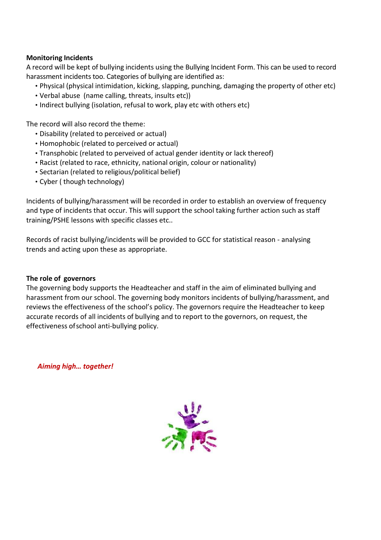### **Monitoring Incidents**

A record will be kept of bullying incidents using the Bullying Incident Form. This can be used to record harassment incidents too. Categories of bullying are identified as:

- Physical (physical intimidation, kicking, slapping, punching, damaging the property of other etc)
- Verbal abuse (name calling, threats, insults etc))
- Indirect bullying (isolation, refusal to work, play etc with others etc)

The record will also record the theme:

- Disability (related to perceived or actual)
- Homophobic (related to perceived or actual)
- Transphobic (related to perveived of actual gender identity or lack thereof)
- Racist (related to race, ethnicity, national origin, colour or nationality)
- Sectarian (related to religious/political belief)
- Cyber ( though technology)

Incidents of bullying/harassment will be recorded in order to establish an overview of frequency and type of incidents that occur. This will support the school taking further action such as staff training/PSHE lessons with specific classes etc..

Records of racist bullying/incidents will be provided to GCC for statistical reason - analysing trends and acting upon these as appropriate.

#### **The role of governors**

The governing body supports the Headteacher and staff in the aim of eliminated bullying and harassment from our school. The governing body monitors incidents of bullying/harassment, and reviews the effectiveness of the school's policy. The governors require the Headteacher to keep accurate records of all incidents of bullying and to report to the governors, on request, the effectiveness of school anti-bullying policy.

*Aiming high… together!*

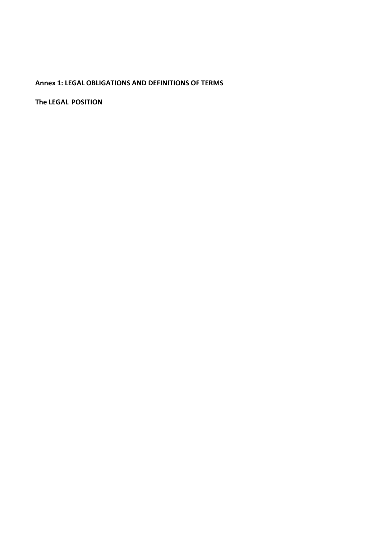# **Annex 1: LEGAL OBLIGATIONS AND DEFINITIONS OF TERMS**

**The LEGAL POSITION**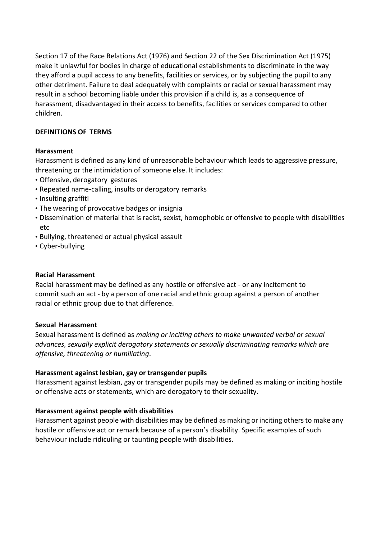Section 17 of the Race Relations Act (1976) and Section 22 of the Sex Discrimination Act (1975) make it unlawful for bodies in charge of educational establishments to discriminate in the way they afford a pupil access to any benefits, facilities or services, or by subjecting the pupil to any other detriment. Failure to deal adequately with complaints or racial or sexual harassment may result in a school becoming liable under this provision if a child is, as a consequence of harassment, disadvantaged in their access to benefits, facilities or services compared to other children.

## **DEFINITIONS OF TERMS**

#### **Harassment**

Harassment is defined as any kind of unreasonable behaviour which leads to aggressive pressure, threatening or the intimidation of someone else. It includes:

- Offensive, derogatory gestures
- Repeated name-calling, insults or derogatory remarks
- Insulting graffiti
- The wearing of provocative badges or insignia
- Dissemination of material that is racist, sexist, homophobic or offensive to people with disabilities etc
- Bullying, threatened or actual physical assault
- Cyber-bullying

#### **Racial Harassment**

Racial harassment may be defined as any hostile or offensive act - or any incitement to commit such an act - by a person of one racial and ethnic group against a person of another racial or ethnic group due to that difference.

#### **Sexual Harassment**

Sexual harassment is defined as *making or inciting others to make unwanted verbal or sexual advances, sexually explicit derogatory statements or sexually discriminating remarks which are offensive, threatening or humiliating*.

#### **Harassment against lesbian, gay or transgender pupils**

Harassment against lesbian, gay or transgender pupils may be defined as making or inciting hostile or offensive acts or statements, which are derogatory to their sexuality.

#### **Harassment against people with disabilities**

Harassment against people with disabilities may be defined as making or inciting others to make any hostile or offensive act or remark because of a person's disability. Specific examples of such behaviour include ridiculing or taunting people with disabilities.